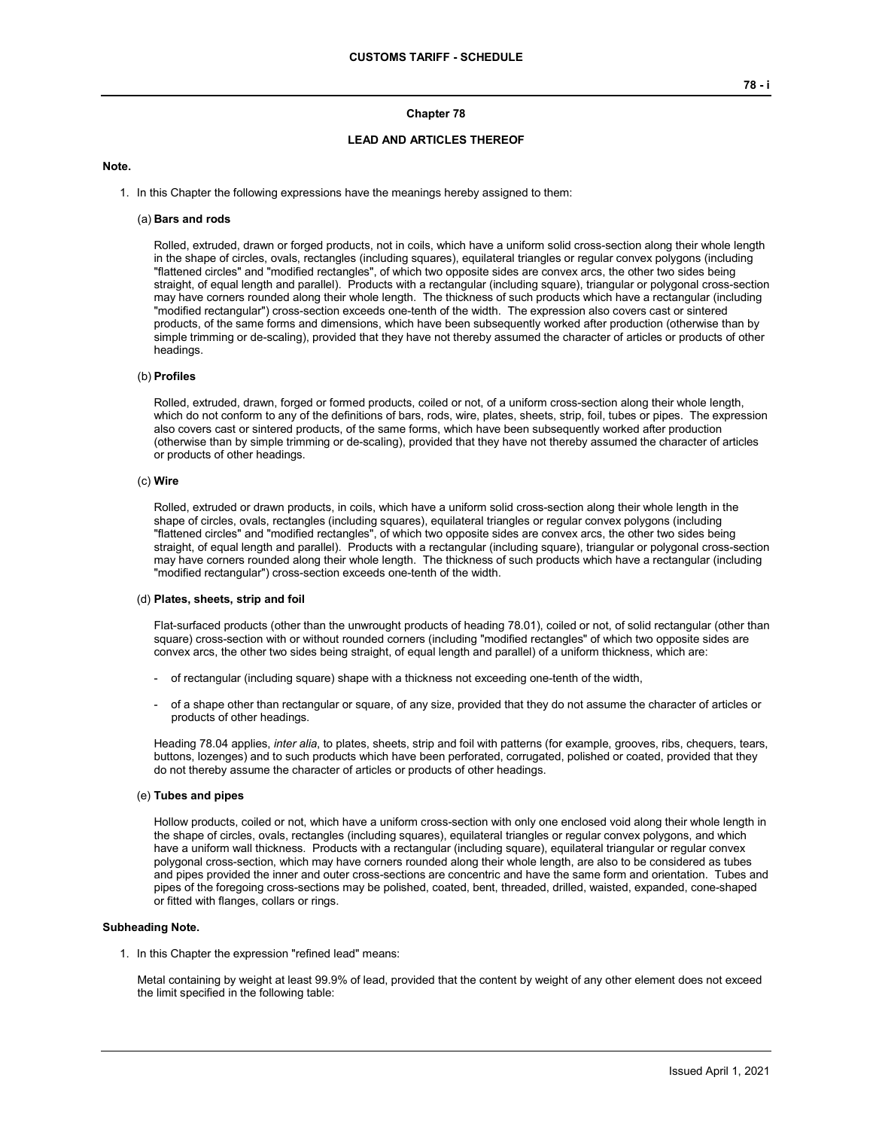## **Chapter 78**

## **LEAD AND ARTICLES THEREOF**

## **Note.**

1. In this Chapter the following expressions have the meanings hereby assigned to them:

## (a) **Bars and rods**

Rolled, extruded, drawn or forged products, not in coils, which have a uniform solid cross-section along their whole length in the shape of circles, ovals, rectangles (including squares), equilateral triangles or regular convex polygons (including "flattened circles" and "modified rectangles", of which two opposite sides are convex arcs, the other two sides being straight, of equal length and parallel). Products with a rectangular (including square), triangular or polygonal cross-section may have corners rounded along their whole length. The thickness of such products which have a rectangular (including "modified rectangular") cross-section exceeds one-tenth of the width. The expression also covers cast or sintered products, of the same forms and dimensions, which have been subsequently worked after production (otherwise than by simple trimming or de-scaling), provided that they have not thereby assumed the character of articles or products of other headings.

## (b) **Profiles**

Rolled, extruded, drawn, forged or formed products, coiled or not, of a uniform cross-section along their whole length, which do not conform to any of the definitions of bars, rods, wire, plates, sheets, strip, foil, tubes or pipes. The expression also covers cast or sintered products, of the same forms, which have been subsequently worked after production (otherwise than by simple trimming or de-scaling), provided that they have not thereby assumed the character of articles or products of other headings.

#### (c) **Wire**

Rolled, extruded or drawn products, in coils, which have a uniform solid cross-section along their whole length in the shape of circles, ovals, rectangles (including squares), equilateral triangles or regular convex polygons (including "flattened circles" and "modified rectangles", of which two opposite sides are convex arcs, the other two sides being straight, of equal length and parallel). Products with a rectangular (including square), triangular or polygonal cross-section may have corners rounded along their whole length. The thickness of such products which have a rectangular (including "modified rectangular") cross-section exceeds one-tenth of the width.

#### (d) **Plates, sheets, strip and foil**

Flat-surfaced products (other than the unwrought products of heading 78.01), coiled or not, of solid rectangular (other than square) cross-section with or without rounded corners (including "modified rectangles" of which two opposite sides are convex arcs, the other two sides being straight, of equal length and parallel) of a uniform thickness, which are:

- of rectangular (including square) shape with a thickness not exceeding one-tenth of the width,
- of a shape other than rectangular or square, of any size, provided that they do not assume the character of articles or products of other headings.

Heading 78.04 applies, *inter alia*, to plates, sheets, strip and foil with patterns (for example, grooves, ribs, chequers, tears, buttons, lozenges) and to such products which have been perforated, corrugated, polished or coated, provided that they do not thereby assume the character of articles or products of other headings.

### (e) **Tubes and pipes**

Hollow products, coiled or not, which have a uniform cross-section with only one enclosed void along their whole length in the shape of circles, ovals, rectangles (including squares), equilateral triangles or regular convex polygons, and which have a uniform wall thickness. Products with a rectangular (including square), equilateral triangular or regular convex polygonal cross-section, which may have corners rounded along their whole length, are also to be considered as tubes and pipes provided the inner and outer cross-sections are concentric and have the same form and orientation. Tubes and pipes of the foregoing cross-sections may be polished, coated, bent, threaded, drilled, waisted, expanded, cone-shaped or fitted with flanges, collars or rings.

## **Subheading Note.**

1. In this Chapter the expression "refined lead" means:

Metal containing by weight at least 99.9% of lead, provided that the content by weight of any other element does not exceed the limit specified in the following table: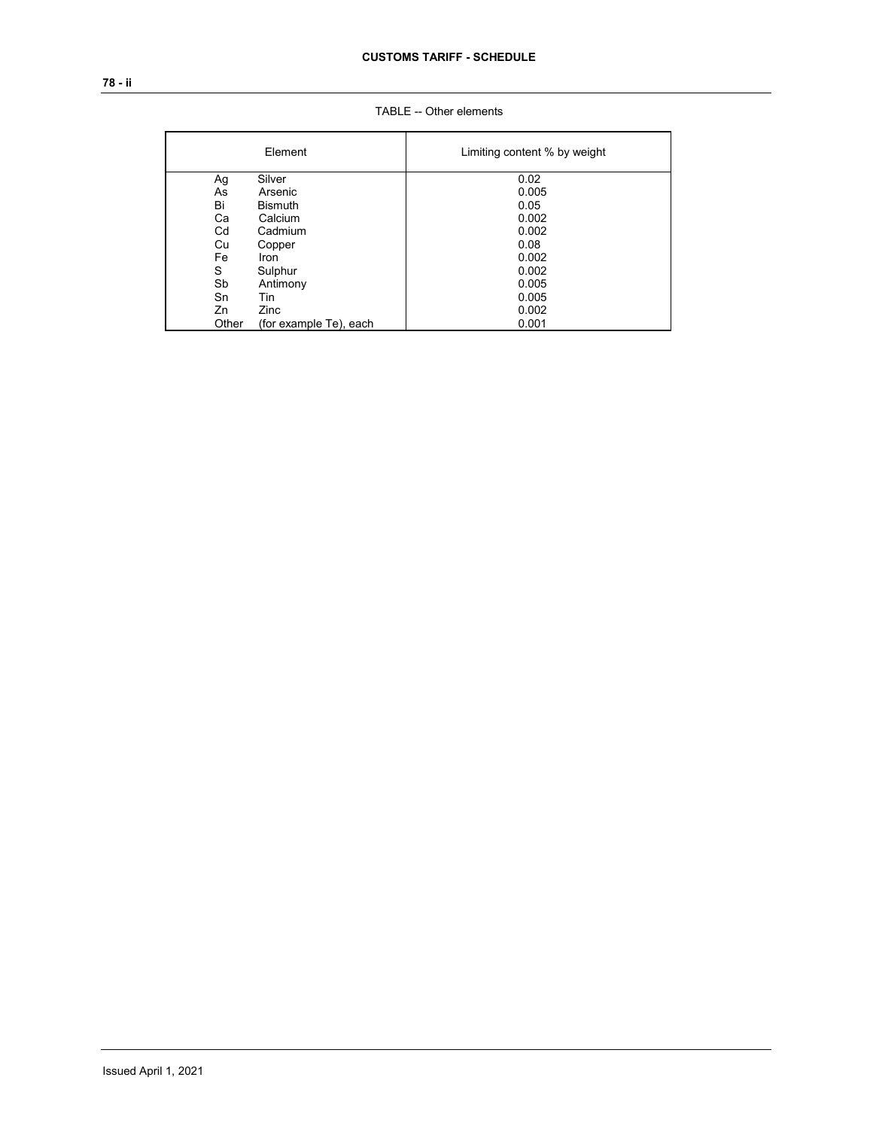# **78 - ii**

|       | Element                | Limiting content % by weight |
|-------|------------------------|------------------------------|
| Ag    | Silver                 | 0.02                         |
| As    | Arsenic                | 0.005                        |
| Bi    | <b>Bismuth</b>         | 0.05                         |
| Ca    | Calcium                | 0.002                        |
| Cd    | Cadmium                | 0.002                        |
| Cu    | Copper                 | 0.08                         |
| Fe    | Iron                   | 0.002                        |
| S     | Sulphur                | 0.002                        |
| Sb    | Antimony               | 0.005                        |
| Sn    | Tin                    | 0.005                        |
| Zn    | Zinc                   | 0.002                        |
| Other | (for example Te), each | 0.001                        |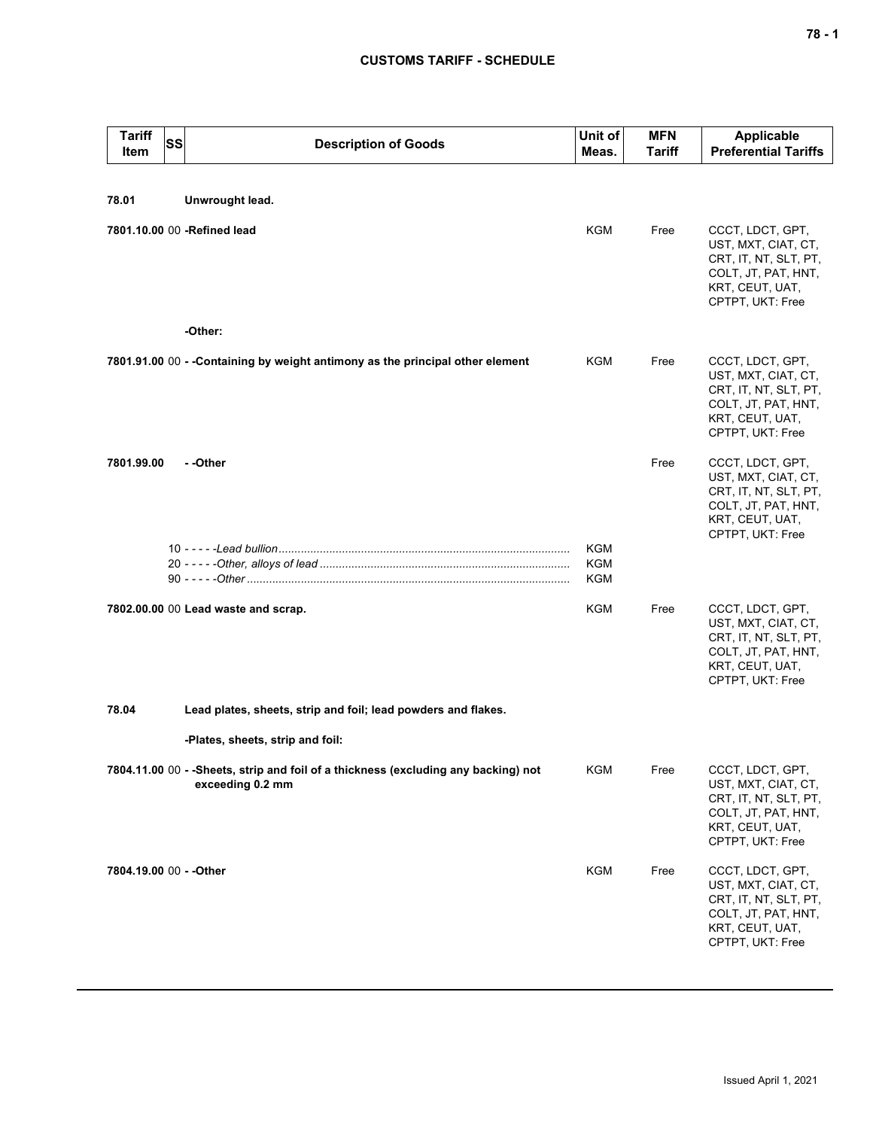## **CUSTOMS TARIFF - SCHEDULE**

| <b>Tariff</b><br><b>Item</b>                                           | SS | <b>Description of Goods</b>                                                                             | Unit of<br>Meas.         | <b>MFN</b><br>Tariff | Applicable<br><b>Preferential Tariffs</b>                                                                                      |  |
|------------------------------------------------------------------------|----|---------------------------------------------------------------------------------------------------------|--------------------------|----------------------|--------------------------------------------------------------------------------------------------------------------------------|--|
|                                                                        |    |                                                                                                         |                          |                      |                                                                                                                                |  |
| 78.01                                                                  |    | Unwrought lead.                                                                                         |                          |                      |                                                                                                                                |  |
|                                                                        |    | 7801.10.00 00 -Refined lead                                                                             | <b>KGM</b>               | Free                 | CCCT, LDCT, GPT,<br>UST, MXT, CIAT, CT,<br>CRT, IT, NT, SLT, PT,<br>COLT, JT, PAT, HNT,<br>KRT, CEUT, UAT,<br>CPTPT, UKT: Free |  |
|                                                                        |    | -Other:                                                                                                 |                          |                      |                                                                                                                                |  |
|                                                                        |    | 7801.91.00 00 - - Containing by weight antimony as the principal other element                          | KGM                      | Free                 | CCCT, LDCT, GPT,<br>UST, MXT, CIAT, CT,<br>CRT, IT, NT, SLT, PT,<br>COLT, JT, PAT, HNT,<br>KRT, CEUT, UAT,<br>CPTPT, UKT: Free |  |
| 7801.99.00                                                             |    | - -Other                                                                                                |                          | Free                 | CCCT, LDCT, GPT,<br>UST, MXT, CIAT, CT,<br>CRT, IT, NT, SLT, PT,<br>COLT, JT, PAT, HNT,<br>KRT, CEUT, UAT,<br>CPTPT, UKT: Free |  |
|                                                                        |    |                                                                                                         | <b>KGM</b><br><b>KGM</b> |                      |                                                                                                                                |  |
|                                                                        |    |                                                                                                         | <b>KGM</b>               |                      |                                                                                                                                |  |
|                                                                        |    | 7802.00.00 00 Lead waste and scrap.                                                                     | KGM                      | Free                 | CCCT, LDCT, GPT,<br>UST, MXT, CIAT, CT,<br>CRT, IT, NT, SLT, PT,<br>COLT, JT, PAT, HNT,<br>KRT, CEUT, UAT,<br>CPTPT, UKT: Free |  |
| 78.04<br>Lead plates, sheets, strip and foil; lead powders and flakes. |    |                                                                                                         |                          |                      |                                                                                                                                |  |
|                                                                        |    | -Plates, sheets, strip and foil:                                                                        |                          |                      |                                                                                                                                |  |
|                                                                        |    | 7804.11.00 00 - - Sheets, strip and foil of a thickness (excluding any backing) not<br>exceeding 0.2 mm | KGM                      | Free                 | CCCT, LDCT, GPT,<br>UST, MXT, CIAT, CT,<br>CRT, IT, NT, SLT, PT,<br>COLT, JT, PAT, HNT,<br>KRT, CEUT, UAT,<br>CPTPT, UKT: Free |  |
| 7804.19.00 00 - - Other                                                |    |                                                                                                         | <b>KGM</b>               | Free                 | CCCT, LDCT, GPT,<br>UST, MXT, CIAT, CT,<br>CRT, IT, NT, SLT, PT,<br>COLT, JT, PAT, HNT,<br>KRT, CEUT, UAT,<br>CPTPT, UKT: Free |  |